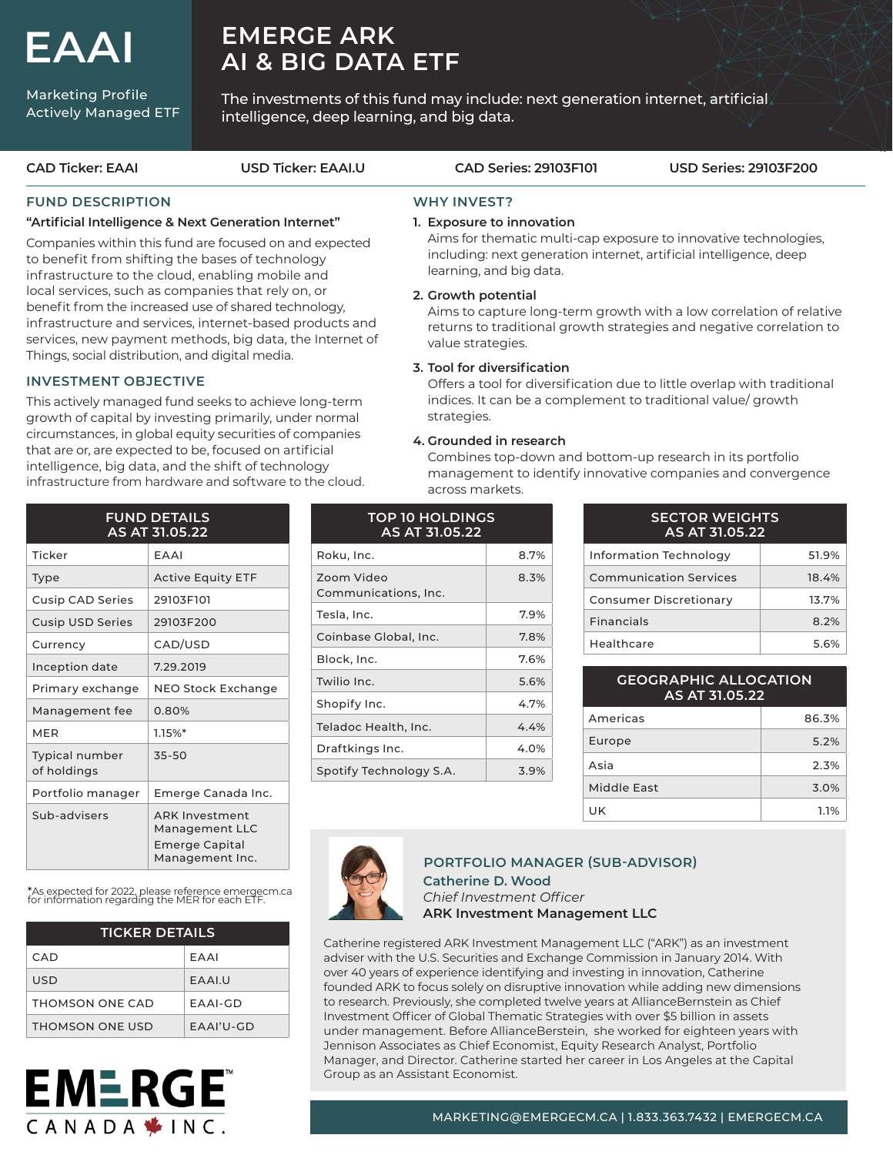# **EAAI**

Marketing Profile Actively Managed ETF

## **EMERGE ARK AI & BIG DATA ETF**

The investments of this fund may include: next generation internet, artificial intelligence, deep learning, and big data.

**CAD Ticker: EAAI USD Ticker: EAAI.U CAD Series: 29103F101 USD Series: 29103F200**

### **FUND DESCRIPTION**

#### **"Artificial Intelligence & Next Generation Internet"**

Companies within this fund are focused on and expected to benefit from shifting the bases of technology infrastructure to the cloud, enabling mobile and local services, such as companies that rely on, or benefit from the increased use of shared technology, infrastructure and services, internet-based products and services, new payment methods, big data, the Internet of Things, social distribution, and digital media.

### **INVESTMENT OBJECTIVE**

This actively managed fund seeks to achieve long-term growth of capital by investing primarily, under normal circumstances, in global equity securities of companies that are or, are expected to be, focused on artificial intelligence, big data, and the shift of technology infrastructure from hardware and software to the cloud.

| <b>FUND DETAILS</b><br>AS AT 31.05.22 |                                                                                     |  |  |  |
|---------------------------------------|-------------------------------------------------------------------------------------|--|--|--|
| Ticker                                | EAAI                                                                                |  |  |  |
| Type                                  | <b>Active Equity ETF</b>                                                            |  |  |  |
| <b>Cusip CAD Series</b>               | 29103F101                                                                           |  |  |  |
| <b>Cusip USD Series</b>               | 29103F200                                                                           |  |  |  |
| Currency                              | CAD/USD                                                                             |  |  |  |
| Inception date                        | 7.29.2019                                                                           |  |  |  |
| Primary exchange                      | NEO Stock Exchange                                                                  |  |  |  |
| Management fee                        | 0.80%                                                                               |  |  |  |
| MFR                                   | $1.15\%*$                                                                           |  |  |  |
| <b>Typical number</b><br>of holdings  | 35-50                                                                               |  |  |  |
| Portfolio manager                     | Emerge Canada Inc.                                                                  |  |  |  |
| Sub-advisers                          | <b>ARK Investment</b><br>Management LLC<br><b>Emerge Capital</b><br>Management Inc. |  |  |  |

\*As expected for 2022, please reference emergecm.ca for information regarding the MER for each ETF.

| <b>TICKER DETAILS</b> |              |  |  |  |  |
|-----------------------|--------------|--|--|--|--|
| CAD.                  | FAAI         |  |  |  |  |
| USD                   | <b>FAALU</b> |  |  |  |  |
| THOMSON ONE CAD       | FAAI-GD      |  |  |  |  |
| THOMSON ONE USD       | $FAAI'U-GD$  |  |  |  |  |



## **WHY INVEST?**

#### **1. Exposure to innovation**

 Aims for thematic multi-cap exposure to innovative technologies, including: next generation internet, artificial intelligence, deep learning, and big data.

#### **2. Growth potential**

 Aims to capture long-term growth with a low correlation of relative returns to traditional growth strategies and negative correlation to value strategies.

#### **3. Tool for diversification**

 Offers a tool for diversification due to little overlap with traditional indices. It can be a complement to traditional value/ growth strategies.

#### **4. Grounded in research**

 Combines top-down and bottom-up research in its portfolio management to identify innovative companies and convergence across markets.

| <b>TOP 10 HOLDINGS</b><br>AS AT 31.05.22 |      |  |  |  |  |
|------------------------------------------|------|--|--|--|--|
| Roku, Inc.                               | 8.7% |  |  |  |  |
| Zoom Video<br>Communications, Inc.       | 8.3% |  |  |  |  |
| Tesla, Inc.                              | 7.9% |  |  |  |  |
| Coinbase Global, Inc.                    | 7.8% |  |  |  |  |
| Block, Inc.                              | 7.6% |  |  |  |  |
| Twilio Inc.                              | 5.6% |  |  |  |  |
| Shopify Inc.                             | 4.7% |  |  |  |  |
| Teladoc Health, Inc.                     | 4.4% |  |  |  |  |
| Draftkings Inc.                          | 4.0% |  |  |  |  |
| Spotify Technology S.A.                  | 3.9% |  |  |  |  |

| <b>SECTOR WEIGHTS</b><br>AS AT 31.05.22 |       |  |  |  |
|-----------------------------------------|-------|--|--|--|
| Information Technology                  | 51.9% |  |  |  |
| <b>Communication Services</b>           | 18.4% |  |  |  |
| Consumer Discretionary                  | 13.7% |  |  |  |
| <b>Financials</b>                       | 8.2%  |  |  |  |
| Healthcare                              | 5.6%  |  |  |  |

#### **GEOGRAPHIC ALLOCATION AS AT 31.05.22**

| Americas    | 86.3% |
|-------------|-------|
| Europe      | 5.2%  |
| Asia        | 2.3%  |
| Middle East | 3.0%  |
| UK          | 1.1%  |



#### **Catherine D. Wood**  *Chief Investment Officer* **ARK Investment Management LLC PORTFOLIO MANAGER (SUB-ADVISOR)**

Catherine registered ARK Investment Management LLC ("ARK") as an investment adviser with the U.S. Securities and Exchange Commission in January 2014. With over 40 years of experience identifying and investing in innovation, Catherine founded ARK to focus solely on disruptive innovation while adding new dimensions to research. Previously, she completed twelve years at AllianceBernstein as Chief Investment Officer of Global Thematic Strategies with over \$5 billion in assets under management. Before AllianceBerstein, she worked for eighteen years with Jennison Associates as Chief Economist, Equity Research Analyst, Portfolio Manager, and Director. Catherine started her career in Los Angeles at the Capital Group as an Assistant Economist.